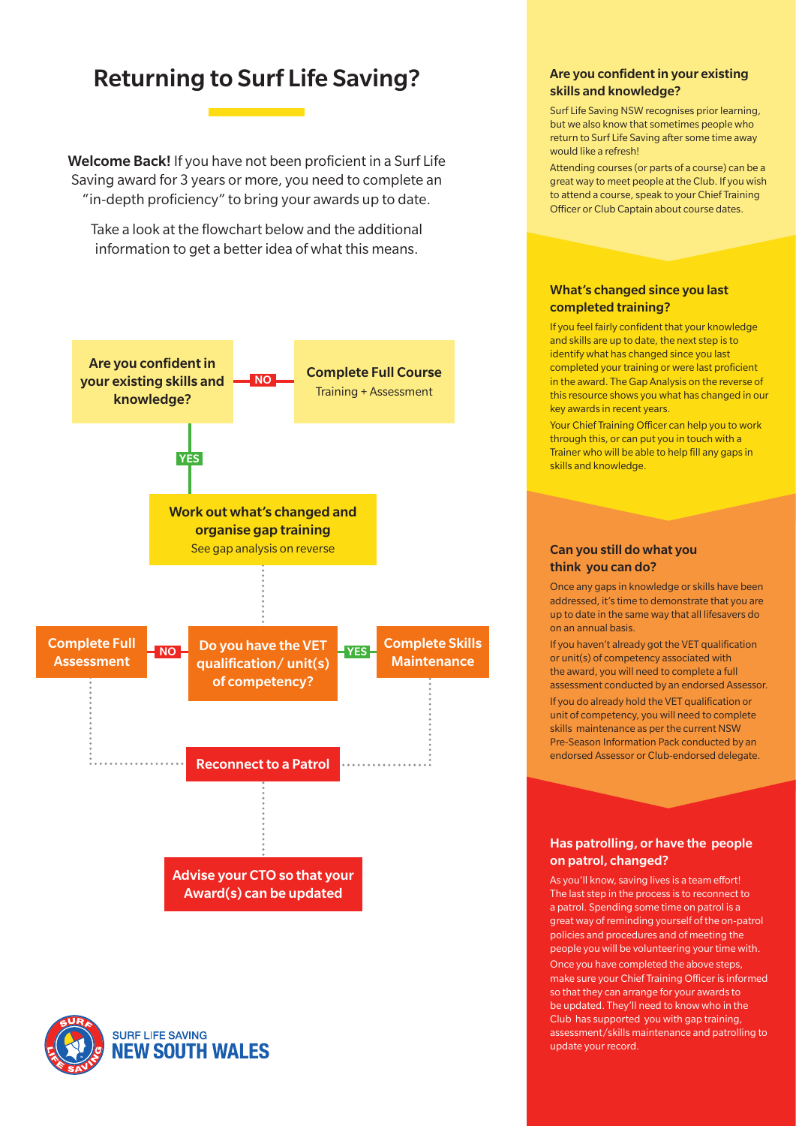### Returning to Surf Life Saving?<br>
Are you confident in your existing

Welcome Back! If you have not been proficient in a Surf Life Saving award for 3 years or more, you need to complete an "in-depth proficiency" to bring your awards up to date.

Take a look at the flowchart below and the additional information to get a better idea of what this means.

# skills and knowledge?

Surf Life Saving NSW recognises prior learning, but we also know that sometimes people who return to Surf Life Saving after some time away would like a refresh!

Attending courses (or parts of a course) can be a great way to meet people at the Club. If you wish to attend a course, speak to your Chief Training Officer or Club Captain about course dates.

#### What's changed since you last completed training?

If you feel fairly confident that your knowledge and skills are up to date, the next step is to identify what has changed since you last completed your training or were last proficient in the award. The Gap Analysis on the reverse of this resource shows you what has changed in our key awards in recent years.

Your Chief Training Officer can help you to work through this, or can put you in touch with a Trainer who will be able to help fill any gaps in skills and knowledge.

#### Can you still do what you think you can do?

Once any gaps in knowledge or skills have been addressed, it's time to demonstrate that you are up to date in the same way that all lifesavers do on an annual basis.

If you haven't already got the VET qualification or unit(s) of competency associated with the award, you will need to complete a full assessment conducted by an endorsed Assessor. If you do already hold the VET qualification or unit of competency, you will need to complete skills maintenance as per the current NSW Pre-Season Information Pack conducted by an endorsed Assessor or Club-endorsed delegate.

Has patrolling, or have the people

#### on patrol, changed?

As you'll know, saving lives is a team effort! The last step in the process is to reconnect to a patrol. Spending some time on patrol is a great way of reminding yourself of the on-patrol policies and procedures and of meeting the people you will be volunteering your time with. Once you have completed the above steps, make sure your Chief Training Officer is informed so that they can arrange for your awards to be updated. They'll need to know who in the Club has supported you with gap training, assessment/skills maintenance and patrolling to update your record.



### Advise your CTO so that your Award(s) can be updated